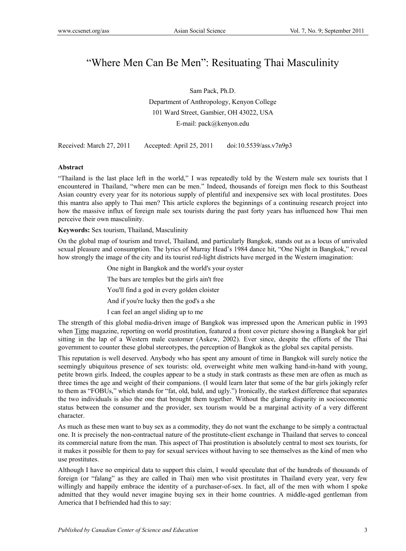# "Where Men Can Be Men": Resituating Thai Masculinity

Sam Pack, Ph.D. Department of Anthropology, Kenyon College 101 Ward Street, Gambier, OH 43022, USA E-mail: pack@kenyon.edu

Received: March 27, 2011 Accepted: April 25, 2011 doi:10.5539/ass.v7n9p3

## **Abstract**

"Thailand is the last place left in the world," I was repeatedly told by the Western male sex tourists that I encountered in Thailand, "where men can be men." Indeed, thousands of foreign men flock to this Southeast Asian country every year for its notorious supply of plentiful and inexpensive sex with local prostitutes. Does this mantra also apply to Thai men? This article explores the beginnings of a continuing research project into how the massive influx of foreign male sex tourists during the past forty years has influenced how Thai men perceive their own masculinity.

**Keywords:** Sex tourism, Thailand, Masculinity

On the global map of tourism and travel, Thailand, and particularly Bangkok, stands out as a locus of unrivaled sexual pleasure and consumption. The lyrics of Murray Head's 1984 dance hit, "One Night in Bangkok," reveal how strongly the image of the city and its tourist red-light districts have merged in the Western imagination:

One night in Bangkok and the world's your oyster

The bars are temples but the girls ain't free

You'll find a god in every golden cloister

And if you're lucky then the god's a she

I can feel an angel sliding up to me

The strength of this global media-driven image of Bangkok was impressed upon the American public in 1993 when Time magazine, reporting on world prostitution, featured a front cover picture showing a Bangkok bar girl sitting in the lap of a Western male customer (Askew, 2002). Ever since, despite the efforts of the Thai government to counter these global stereotypes, the perception of Bangkok as the global sex capital persists.

This reputation is well deserved. Anybody who has spent any amount of time in Bangkok will surely notice the seemingly ubiquitous presence of sex tourists: old, overweight white men walking hand-in-hand with young, petite brown girls. Indeed, the couples appear to be a study in stark contrasts as these men are often as much as three times the age and weight of their companions. (I would learn later that some of the bar girls jokingly refer to them as "FOBUs," which stands for "fat, old, bald, and ugly.") Ironically, the starkest difference that separates the two individuals is also the one that brought them together. Without the glaring disparity in socioeconomic status between the consumer and the provider, sex tourism would be a marginal activity of a very different character.

As much as these men want to buy sex as a commodity, they do not want the exchange to be simply a contractual one. It is precisely the non-contractual nature of the prostitute-client exchange in Thailand that serves to conceal its commercial nature from the man. This aspect of Thai prostitution is absolutely central to most sex tourists, for it makes it possible for them to pay for sexual services without having to see themselves as the kind of men who use prostitutes.

Although I have no empirical data to support this claim, I would speculate that of the hundreds of thousands of foreign (or "falang" as they are called in Thai) men who visit prostitutes in Thailand every year, very few willingly and happily embrace the identity of a purchaser-of-sex. In fact, all of the men with whom I spoke admitted that they would never imagine buying sex in their home countries. A middle-aged gentleman from America that I befriended had this to say: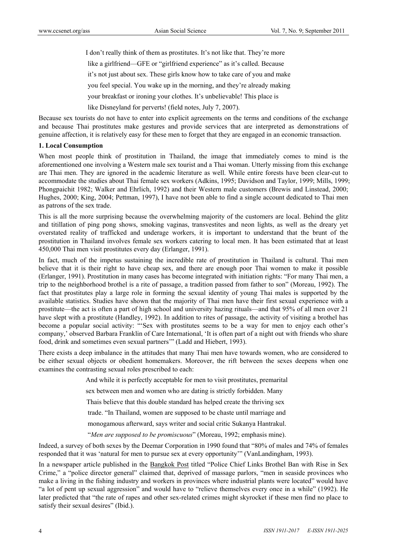I don't really think of them as prostitutes. It's not like that. They're more like a girlfriend—GFE or "girlfriend experience" as it's called. Because it's not just about sex. These girls know how to take care of you and make you feel special. You wake up in the morning, and they're already making your breakfast or ironing your clothes. It's unbelievable! This place is like Disneyland for perverts! (field notes, July 7, 2007).

Because sex tourists do not have to enter into explicit agreements on the terms and conditions of the exchange and because Thai prostitutes make gestures and provide services that are interpreted as demonstrations of genuine affection, it is relatively easy for these men to forget that they are engaged in an economic transaction.

#### **1. Local Consumption**

When most people think of prostitution in Thailand, the image that immediately comes to mind is the aforementioned one involving a Western male sex tourist and a Thai woman. Utterly missing from this exchange are Thai men. They are ignored in the academic literature as well. While entire forests have been clear-cut to accommodate the studies about Thai female sex workers (Adkins, 1995; Davidson and Taylor, 1999; Mills, 1999; Phongpaichit 1982; Walker and Ehrlich, 1992) and their Western male customers (Brewis and Linstead, 2000; Hughes, 2000; King, 2004; Pettman, 1997), I have not been able to find a single account dedicated to Thai men as patrons of the sex trade.

This is all the more surprising because the overwhelming majority of the customers are local. Behind the glitz and titillation of ping pong shows, smoking vaginas, transvestites and neon lights, as well as the dreary yet overstated reality of trafficked and underage workers, it is important to understand that the brunt of the prostitution in Thailand involves female sex workers catering to local men. It has been estimated that at least 450,000 Thai men visit prostitutes every day (Erlanger, 1991).

In fact, much of the impetus sustaining the incredible rate of prostitution in Thailand is cultural. Thai men believe that it is their right to have cheap sex, and there are enough poor Thai women to make it possible (Erlanger, 1991). Prostitution in many cases has become integrated with initiation rights: "For many Thai men, a trip to the neighborhood brothel is a rite of passage, a tradition passed from father to son" (Moreau, 1992). The fact that prostitutes play a large role in forming the sexual identity of young Thai males is supported by the available statistics. Studies have shown that the majority of Thai men have their first sexual experience with a prostitute—the act is often a part of high school and university hazing rituals—and that 95% of all men over 21 have slept with a prostitute (Handley, 1992). In addition to rites of passage, the activity of visiting a brothel has become a popular social activity: "'Sex with prostitutes seems to be a way for men to enjoy each other's company,' observed Barbara Franklin of Care International, 'It is often part of a night out with friends who share food, drink and sometimes even sexual partners'" (Ladd and Hiebert, 1993).

There exists a deep imbalance in the attitudes that many Thai men have towards women, who are considered to be either sexual objects or obedient homemakers. Moreover, the rift between the sexes deepens when one examines the contrasting sexual roles prescribed to each:

And while it is perfectly acceptable for men to visit prostitutes, premarital

sex between men and women who are dating is strictly forbidden. Many

Thais believe that this double standard has helped create the thriving sex

trade. "In Thailand, women are supposed to be chaste until marriage and

monogamous afterward, says writer and social critic Sukanya Hantrakul.

"*Men are supposed to be promiscuous*" (Moreau, 1992; emphasis mine).

Indeed, a survey of both sexes by the Deemar Corporation in 1990 found that "80% of males and 74% of females responded that it was 'natural for men to pursue sex at every opportunity'" (VanLandingham, 1993).

In a newspaper article published in the Bangkok Post titled "Police Chief Links Brothel Ban with Rise in Sex Crime," a "police director general" claimed that, deprived of massage parlors, "men in seaside provinces who make a living in the fishing industry and workers in provinces where industrial plants were located" would have "a lot of pent up sexual aggression" and would have to "relieve themselves every once in a while" (1992). He later predicted that "the rate of rapes and other sex-related crimes might skyrocket if these men find no place to satisfy their sexual desires" (Ibid.).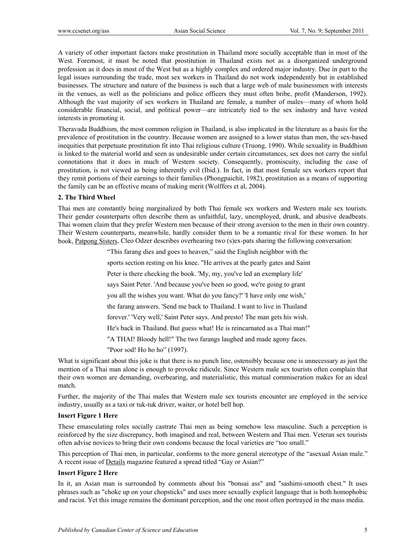A variety of other important factors make prostitution in Thailand more socially acceptable than in most of the West. Foremost, it must be noted that prostitution in Thailand exists not as a disorganized underground profession as it does in most of the West but as a highly complex and ordered major industry. Due in part to the legal issues surrounding the trade, most sex workers in Thailand do not work independently but in established businesses. The structure and nature of the business is such that a large web of male businessmen with interests in the venues, as well as the politicians and police officers they must often bribe, profit (Manderson, 1992). Although the vast majority of sex workers in Thailand are female, a number of males—many of whom hold considerable financial, social, and political power—are intricately tied to the sex industry and have vested interests in promoting it.

Theravada Buddhism, the most common religion in Thailand, is also implicated in the literature as a basis for the prevalence of prostitution in the country. Because women are assigned to a lower status than men, the sex-based inequities that perpetuate prostitution fit into Thai religious culture (Truong, 1990). While sexuality in Buddhism is linked to the material world and seen as undesirable under certain circumstances, sex does not carry the sinful connotations that it does in much of Western society. Consequently, promiscuity, including the case of prostitution, is not viewed as being inherently evil (Ibid.). In fact, in that most female sex workers report that they remit portions of their earnings to their families (Phongpaichit, 1982), prostitution as a means of supporting the family can be an effective means of making merit (Wolffers et al, 2004).

## **2. The Third Wheel**

Thai men are constantly being marginalized by both Thai female sex workers and Western male sex tourists. Their gender counterparts often describe them as unfaithful, lazy, unemployed, drunk, and abusive deadbeats. Thai women claim that they prefer Western men because of their strong aversion to the men in their own country. Their Western counterparts, meanwhile, hardly consider them to be a romantic rival for these women. In her book, Patpong Sisters, Cleo Odzer describes overhearing two (s)ex-pats sharing the following conversation:

> "This farang dies and goes to heaven," said the English neighbor with the sports section resting on his knee. "He arrives at the pearly gates and Saint Peter is there checking the book. 'My, my, you've led an exemplary life' says Saint Peter. 'And because you've been so good, we're going to grant you all the wishes you want. What do you fancy?' 'I have only one wish,' the farang answers. 'Send me back to Thailand. I want to live in Thailand forever.' 'Very well,' Saint Peter says. And presto! The man gets his wish. He's back in Thailand. But guess what! He is reincarnated as a Thai man!" "A THAI! Bloody hell!" The two farangs laughed and made agony faces. "Poor sod! Ho ho ho" (1997).

What is significant about this joke is that there is no punch line, ostensibly because one is unnecessary as just the mention of a Thai man alone is enough to provoke ridicule. Since Western male sex tourists often complain that their own women are demanding, overbearing, and materialistic, this mutual commiseration makes for an ideal match.

Further, the majority of the Thai males that Western male sex tourists encounter are employed in the service industry, usually as a taxi or tuk-tuk driver, waiter, or hotel bell hop.

# **Insert Figure 1 Here**

These emasculating roles socially castrate Thai men as being somehow less masculine. Such a perception is reinforced by the size discrepancy, both imagined and real, between Western and Thai men. Veteran sex tourists often advise novices to bring their own condoms because the local varieties are "too small."

This perception of Thai men, in particular, conforms to the more general stereotype of the "asexual Asian male." A recent issue of Details magazine featured a spread titled "Gay or Asian?"

## **Insert Figure 2 Here**

In it, an Asian man is surrounded by comments about his "bonsai ass" and "sashimi-smooth chest." It uses phrases such as "choke up on your chopsticks" and uses more sexually explicit language that is both homophobic and racist. Yet this image remains the dominant perception, and the one most often portrayed in the mass media.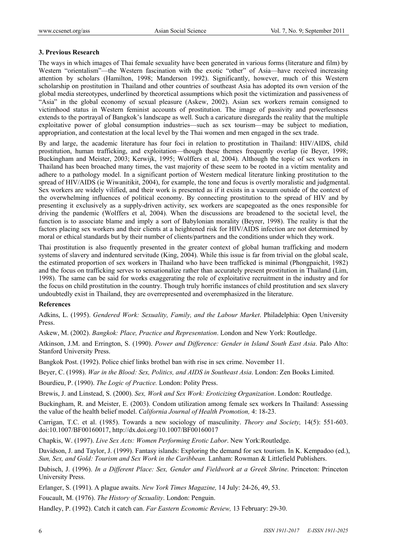#### **3. Previous Research**

The ways in which images of Thai female sexuality have been generated in various forms (literature and film) by Western "orientalism"—the Western fascination with the exotic "other" of Asia—have received increasing attention by scholars (Hamilton, 1998; Manderson 1992). Significantly, however, much of this Western scholarship on prostitution in Thailand and other countries of southeast Asia has adopted its own version of the global media stereotypes, underlined by theoretical assumptions which posit the victimization and passiveness of "Asia" in the global economy of sexual pleasure (Askew, 2002). Asian sex workers remain consigned to victimhood status in Western feminist accounts of prostitution. The image of passivity and powerlessness extends to the portrayal of Bangkok's landscape as well. Such a caricature disregards the reality that the multiple exploitative power of global consumption industries—such as sex tourism—may be subject to mediation, appropriation, and contestation at the local level by the Thai women and men engaged in the sex trade.

By and large, the academic literature has four foci in relation to prostitution in Thailand: HIV/AIDS, child prostitution, human trafficking, and exploitation—though these themes frequently overlap (ie Beyer, 1998; Buckingham and Meister, 2003; Kerwijk, 1995; Wolffers et al, 2004). Although the topic of sex workers in Thailand has been broached many times, the vast majority of these seem to be rooted in a victim mentality and adhere to a pathology model. In a significant portion of Western medical literature linking prostitution to the spread of HIV/AIDS (ie Wiwanitikit, 2004), for example, the tone and focus is overtly moralistic and judgmental. Sex workers are widely vilified, and their work is presented as if it exists in a vacuum outside of the context of the overwhelming influences of political economy. By connecting prostitution to the spread of HIV and by presenting it exclusively as a supply-driven activity, sex workers are scapegoated as the ones responsible for driving the pandemic (Wolffers et al, 2004). When the discussions are broadened to the societal level, the function is to associate blame and imply a sort of Babylonian morality (Beyrer, 1998). The reality is that the factors placing sex workers and their clients at a heightened risk for HIV/AIDS infection are not determined by moral or ethical standards but by their number of clients/partners and the conditions under which they work.

Thai prostitution is also frequently presented in the greater context of global human trafficking and modern systems of slavery and indentured servitude (King, 2004). While this issue is far from trivial on the global scale, the estimated proportion of sex workers in Thailand who have been trafficked is minimal (Phongpaichit, 1982) and the focus on trafficking serves to sensationalize rather than accurately present prostitution in Thailand (Lim, 1998). The same can be said for works exaggerating the role of exploitative recruitment in the industry and for the focus on child prostitution in the country. Though truly horrific instances of child prostitution and sex slavery undoubtedly exist in Thailand, they are overrepresented and overemphasized in the literature.

#### **References**

Adkins, L. (1995). *Gendered Work: Sexuality, Family, and the Labour Market*. Philadelphia: Open University Press.

Askew, M. (2002). *Bangkok: Place, Practice and Representation*. London and New York: Routledge.

Atkinson, J.M. and Errington, S. (1990). *Power and Difference: Gender in Island South East Asia*. Palo Alto: Stanford University Press.

Bangkok Post. (1992). Police chief links brothel ban with rise in sex crime. November 11.

Beyer, C. (1998). *War in the Blood: Sex, Politics, and AIDS in Southeast Asia*. London: Zen Books Limited.

Bourdieu, P. (1990). *The Logic of Practice.* London: Polity Press.

Brewis, J. and Linstead, S. (2000). *Sex, Work and Sex Work: Eroticizing Organization*. London: Routledge.

Buckingham, R. and Meister, E. (2003). Condom utilization among female sex workers In Thailand: Assessing the value of the health belief model. *California Journal of Health Promotion,* 4: 18-23.

Carrigan, T.C. et al. (1985). Towards a new sociology of masculinity. *Theory and Society,* 14(5): 551-603. doi:10.1007/BF00160017, http://dx.doi.org/10.1007/BF00160017

Chapkis, W. (1997). *Live Sex Acts: Women Performing Erotic Labor*. New York:Routledge.

Davidson, J. and Taylor, J. (1999). Fantasy islands: Exploring the demand for sex tourism. In K. Kempadoo (ed.), *Sun, Sex, and Gold: Tourism and Sex Work in the Caribbean.* Lanham: Rowman & Littlefield Publishers.

Dubisch, J. (1996). *In a Different Place: Sex, Gender and Fieldwork at a Greek Shrine*. Princeton: Princeton University Press.

Erlanger, S. (1991). A plague awaits. *New York Times Magazine,* 14 July: 24-26, 49, 53.

Foucault, M. (1976). *The History of Sexuality*. London: Penguin.

Handley, P. (1992). Catch it catch can. *Far Eastern Economic Review,* 13 February: 29-30.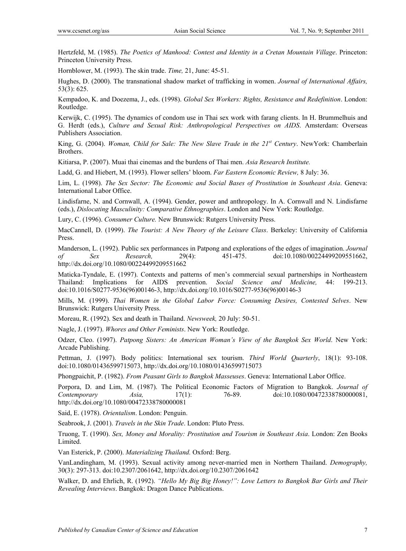Hertzfeld, M. (1985). *The Poetics of Manhood: Contest and Identity in a Cretan Mountain Village*. Princeton: Princeton University Press.

Hornblower, M. (1993). The skin trade. *Time,* 21, June: 45-51.

Hughes, D. (2000). The transnational shadow market of trafficking in women. *Journal of International Affairs,* 53(3): 625.

Kempadoo, K. and Doezema, J., eds. (1998). *Global Sex Workers: Rights, Resistance and Redefinition*. London: Routledge.

Kerwijk, C. (1995). The dynamics of condom use in Thai sex work with farang clients. In H. Brummelhuis and G. Herdt (eds.), *Culture and Sexual Risk: Anthropological Perspectives on AIDS*. Amsterdam: Overseas Publishers Association.

King, G. (2004). *Woman, Child for Sale: The New Slave Trade in the 21st Century*. NewYork: Chamberlain Brothers.

Kitiarsa, P. (2007). Muai thai cinemas and the burdens of Thai men. *Asia Research Institute.* 

Ladd, G. and Hiebert, M. (1993). Flower sellers' bloom. *Far Eastern Economic Review,* 8 July: 36.

Lim, L. (1998). *The Sex Sector: The Economic and Social Bases of Prostitution in Southeast Asia*. Geneva: International Labor Office.

Lindisfarne, N. and Cornwall, A. (1994). Gender, power and anthropology. In A. Cornwall and N. Lindisfarne (eds.), *Dislocating Masculinity: Comparative Ethnographies*. London and New York: Routledge.

Lury, C. (1996). *Consumer Culture.* New Brunswick: Rutgers University Press.

MacCannell, D. (1999). *The Tourist: A New Theory of the Leisure Class*. Berkeley: University of California Press.

Manderson, L. (1992). Public sex performances in Patpong and explorations of the edges of imagination. *Journal of Sex Research,* 29(4): 451-475. doi:10.1080/00224499209551662, http://dx.doi.org/10.1080/00224499209551662

Maticka-Tyndale, E. (1997). Contexts and patterns of men's commercial sexual partnerships in Northeastern Thailand: Implications for AIDS prevention. *Social Science and Medicine,* 44: 199-213. doi:10.1016/S0277-9536(96)00146-3, http://dx.doi.org/10.1016/S0277-9536(96)00146-3

Mills, M. (1999). *Thai Women in the Global Labor Force: Consuming Desires, Contested Selves*. New Brunswick: Rutgers University Press.

Moreau, R. (1992). Sex and death in Thailand. *Newsweek,* 20 July: 50-51.

Nagle, J. (1997). *Whores and Other Feminists*. New York: Routledge.

Odzer, Cleo. (1997). *Patpong Sisters: An American Woman's View of the Bangkok Sex World*. New York: Arcade Publishing.

Pettman, J. (1997). Body politics: International sex tourism. *Third World Quarterly*, 18(1): 93-108. doi:10.1080/01436599715073, http://dx.doi.org/10.1080/01436599715073

Phongpaichit, P. (1982). *From Peasant Girls to Bangkok Masseuses*. Geneva: International Labor Office.

Porpora, D. and Lim, M. (1987). The Political Economic Factors of Migration to Bangkok. *Journal of Contemporary Asia,* 17(1): 76-89. doi:10.1080/00472338780000081, http://dx.doi.org/10.1080/00472338780000081

Said, E. (1978). *Orientalism*. London: Penguin.

Seabrook, J. (2001). *Travels in the Skin Trade*. London: Pluto Press.

Truong, T. (1990). *Sex, Money and Morality: Prostitution and Tourism in Southeast Asia*. London: Zen Books Limited.

Van Esterick, P. (2000). *Materializing Thailand.* Oxford: Berg.

VanLandingham, M. (1993). Sexual activity among never-married men in Northern Thailand. *Demography,* 30(3): 297-313. doi:10.2307/2061642, http://dx.doi.org/10.2307/2061642

Walker, D. and Ehrlich, R. (1992). *"Hello My Big Big Honey!": Love Letters to Bangkok Bar Girls and Their Revealing Interviews*. Bangkok: Dragon Dance Publications.